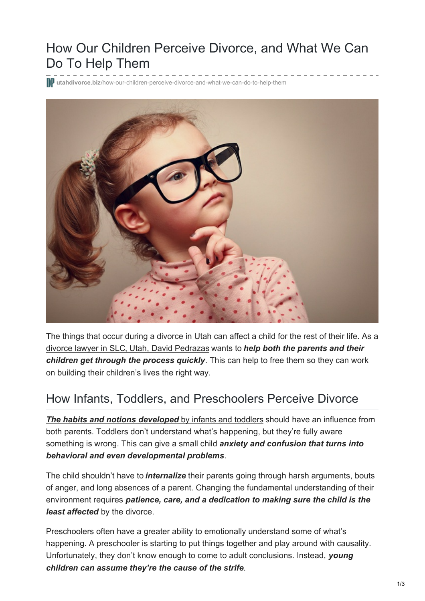# How Our Children Perceive Divorce, and What We Can Do To Help Them

**utahdivorce.biz**[/how-our-children-perceive-divorce-and-what-we-can-do-to-help-them](https://utahdivorce.biz/how-our-children-perceive-divorce-and-what-we-can-do-to-help-them/)



The things that occur during a [divorce](https://utahdivorce.biz/divorce-attorney-utah) in Utah can affect a child for the rest of their life. As a [divorce](https://utahdivorce.biz/Why-Choose-David-Pedrazas.shtml) lawyer in SL[C,](https://utahdivorce.biz/Why-Choose-David-Pedrazas.shtml) [Utah](https://utahdivorce.biz/Why-Choose-David-Pedrazas.shtml), David [Pedrazas](https://utahdivorce.biz/Why-Choose-David-Pedrazas.shtml) wants to *help both the parents and their children get through the process quickly*. This can help to free them so they can work on building their children's lives the right way.

#### How Infants, Toddlers, and Preschoolers Perceive Divorce

*The habits and notions [developed](https://utahdivorce.biz/tips-help-toddler-cope-divorce/)* by infants and [toddlers](https://utahdivorce.biz/tips-help-toddler-cope-divorce/) should have an influence from both parents. Toddlers don't understand what's happening, but they're fully aware something is wrong. This can give a small child *anxiety and confusion that turns into behavioral and even developmental problems*.

The child shouldn't have to *internalize* their parents going through harsh arguments, bouts of anger, and long absences of a parent. Changing the fundamental understanding of their environment requires *patience, care, and a dedication to making sure the child is the least affected* by the divorce.

Preschoolers often have a greater ability to emotionally understand some of what's happening. A preschooler is starting to put things together and play around with causality. Unfortunately, they don't know enough to come to adult conclusions. Instead, *young children can assume they're the cause of the strife*.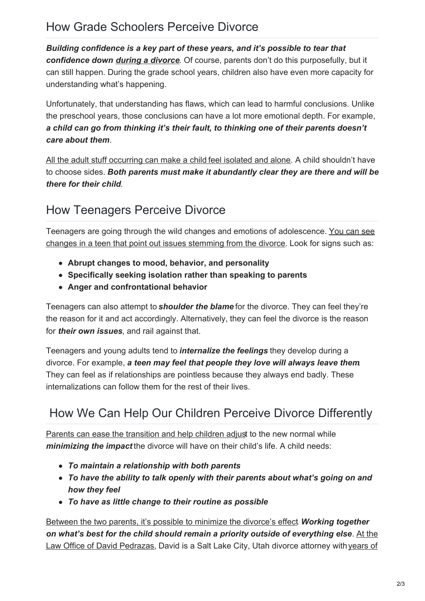## How Grade Schoolers Perceive Divorce

*Building confidence is a key part of these years, and it's possible to tear that confidence down during a [divorce](https://utahdivorce.biz/divorce-attorney-utah)*. Of course, parents don't do this purposefully, but it can still happen. During the grade school years, children also have even more capacity for understanding what's happening.

Unfortunately, that understanding has flaws, which can lead to harmful conclusions. Unlike the preschool years, those conclusions can have a lot more emotional depth. For example, *a child can go from thinking it's their fault, to thinking one of their parents doesn't care about them*.

All the adult stuff [occurring](https://utahdivorce.biz/6-tips-help-school-age-child-cope-divorce/) can make a child feel [isolated](https://utahdivorce.biz/6-tips-help-school-age-child-cope-divorce/) and alone. A child shouldn't have to choose sides. *Both parents must make it abundantly clear they are there and will be there for their child*.

#### How Teenagers Perceive Divorce

Teenagers are going through the wild changes and emotions of [adolescence.](https://utahdivorce.biz/6-important-ways-help-teenager-divorce/) You can see changes in a teen that point out issues stemming from the divorce. Look for signs such as:

- **Abrupt changes to mood, behavior, and personality**
- **Specifically seeking isolation rather than speaking to parents**
- **Anger and confrontational behavior**

Teenagers can also attempt to *shoulder the blame* for the divorce. They can feel they're the reason for it and act accordingly. Alternatively, they can feel the divorce is the reason for *their own issues*, and rail against that.

Teenagers and young adults tend to *internalize the feelings* they develop during a divorce. For example, *a teen may feel that people they love will always leave them*. They can feel as if relationships are pointless because they always end badly. These internalizations can follow them for the rest of their lives.

### How We Can Help Our Children Perceive Divorce Differently

Parents can ease the [transition](https://utahdivorce.biz/five-things-remember-co-parent/) and help children adjust to the new normal while *minimizing the impact* the divorce will have on their child's life. A child needs:

- *To maintain a relationship with both parents*
- *To have the ability to talk openly with their parents about what's going on and how they feel*
- *To have as little change to their routine as possible*

Between the two parents, it's possible to minimize the [divorce's](https://utahdivorce.biz/co-parenting-new-years-resolutions-2018/) effect. *Working together on what's best for the child should remain a priority outside of [everything](https://utahdivorce.biz/) else*. At the Law Office of David [Pedrazas,](https://utahdivorce.biz/Aggressive-Compassionate-Representation.shtml) David is a Salt Lake City, Utah divorce attorney with years of